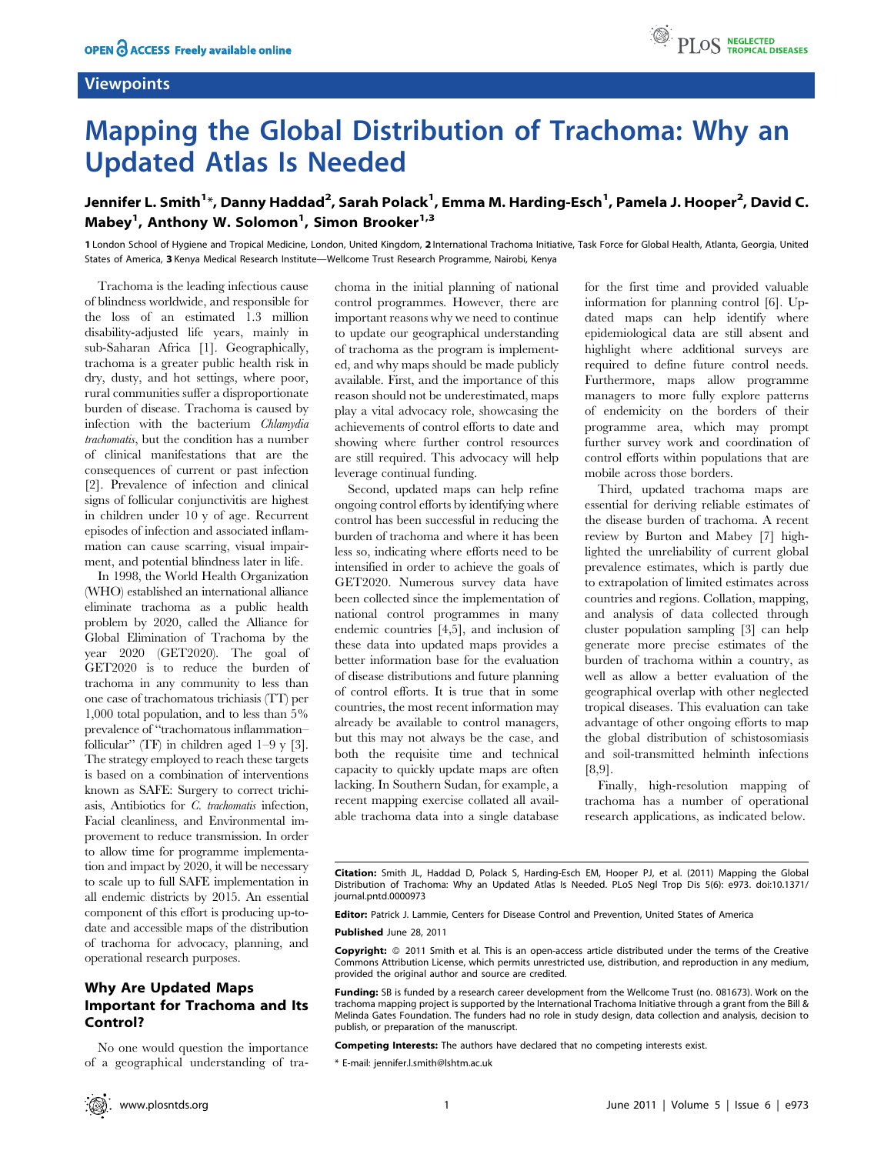#### **Viewpoints**



# Mapping the Global Distribution of Trachoma: Why an Updated Atlas Is Needed

# Jennifer L. Smith<sup>1</sup>\*, Danny Haddad<sup>2</sup>, Sarah Polack<sup>1</sup>, Emma M. Harding-Esch<sup>1</sup>, Pamela J. Hooper<sup>2</sup>, David C. Mabey<sup>1</sup>, Anthony W. Solomon<sup>1</sup>, Simon Brooker<sup>1,3</sup>

1 London School of Hygiene and Tropical Medicine, London, United Kingdom, 2 International Trachoma Initiative, Task Force for Global Health, Atlanta, Georgia, United States of America, 3 Kenya Medical Research Institute—Wellcome Trust Research Programme, Nairobi, Kenya

Trachoma is the leading infectious cause of blindness worldwide, and responsible for the loss of an estimated 1.3 million disability-adjusted life years, mainly in sub-Saharan Africa [1]. Geographically, trachoma is a greater public health risk in dry, dusty, and hot settings, where poor, rural communities suffer a disproportionate burden of disease. Trachoma is caused by infection with the bacterium Chlamydia trachomatis, but the condition has a number of clinical manifestations that are the consequences of current or past infection [2]. Prevalence of infection and clinical signs of follicular conjunctivitis are highest in children under 10 y of age. Recurrent episodes of infection and associated inflammation can cause scarring, visual impairment, and potential blindness later in life.

In 1998, the World Health Organization (WHO) established an international alliance eliminate trachoma as a public health problem by 2020, called the Alliance for Global Elimination of Trachoma by the year 2020 (GET2020). The goal of GET2020 is to reduce the burden of trachoma in any community to less than one case of trachomatous trichiasis (TT) per 1,000 total population, and to less than 5% prevalence of ''trachomatous inflammation– follicular'' (TF) in children aged 1–9 y [3]. The strategy employed to reach these targets is based on a combination of interventions known as SAFE: Surgery to correct trichiasis, Antibiotics for C. trachomatis infection, Facial cleanliness, and Environmental improvement to reduce transmission. In order to allow time for programme implementation and impact by 2020, it will be necessary to scale up to full SAFE implementation in all endemic districts by 2015. An essential component of this effort is producing up-todate and accessible maps of the distribution of trachoma for advocacy, planning, and operational research purposes.

# Why Are Updated Maps Important for Trachoma and Its Control?

No one would question the importance of a geographical understanding of trachoma in the initial planning of national control programmes. However, there are important reasons why we need to continue to update our geographical understanding of trachoma as the program is implemented, and why maps should be made publicly available. First, and the importance of this reason should not be underestimated, maps play a vital advocacy role, showcasing the achievements of control efforts to date and showing where further control resources are still required. This advocacy will help leverage continual funding.

Second, updated maps can help refine ongoing control efforts by identifying where control has been successful in reducing the burden of trachoma and where it has been less so, indicating where efforts need to be intensified in order to achieve the goals of GET2020. Numerous survey data have been collected since the implementation of national control programmes in many endemic countries [4,5], and inclusion of these data into updated maps provides a better information base for the evaluation of disease distributions and future planning of control efforts. It is true that in some countries, the most recent information may already be available to control managers, but this may not always be the case, and both the requisite time and technical capacity to quickly update maps are often lacking. In Southern Sudan, for example, a recent mapping exercise collated all available trachoma data into a single database for the first time and provided valuable information for planning control [6]. Updated maps can help identify where epidemiological data are still absent and highlight where additional surveys are required to define future control needs. Furthermore, maps allow programme managers to more fully explore patterns of endemicity on the borders of their programme area, which may prompt further survey work and coordination of control efforts within populations that are mobile across those borders.

Third, updated trachoma maps are essential for deriving reliable estimates of the disease burden of trachoma. A recent review by Burton and Mabey [7] highlighted the unreliability of current global prevalence estimates, which is partly due to extrapolation of limited estimates across countries and regions. Collation, mapping, and analysis of data collected through cluster population sampling [3] can help generate more precise estimates of the burden of trachoma within a country, as well as allow a better evaluation of the geographical overlap with other neglected tropical diseases. This evaluation can take advantage of other ongoing efforts to map the global distribution of schistosomiasis and soil-transmitted helminth infections [8,9].

Finally, high-resolution mapping of trachoma has a number of operational research applications, as indicated below.

Editor: Patrick J. Lammie, Centers for Disease Control and Prevention, United States of America

Published June 28, 2011

Copyright: © 2011 Smith et al. This is an open-access article distributed under the terms of the Creative Commons Attribution License, which permits unrestricted use, distribution, and reproduction in any medium, provided the original author and source are credited.

Funding: SB is funded by a research career development from the Wellcome Trust (no. 081673). Work on the trachoma mapping project is supported by the International Trachoma Initiative through a grant from the Bill & Melinda Gates Foundation. The funders had no role in study design, data collection and analysis, decision to publish, or preparation of the manuscript.

Competing Interests: The authors have declared that no competing interests exist.

\* E-mail: jennifer.l.smith@lshtm.ac.uk

Citation: Smith JL, Haddad D, Polack S, Harding-Esch EM, Hooper PJ, et al. (2011) Mapping the Global Distribution of Trachoma: Why an Updated Atlas Is Needed. PLoS Negl Trop Dis 5(6): e973. doi:10.1371/ journal.pntd.0000973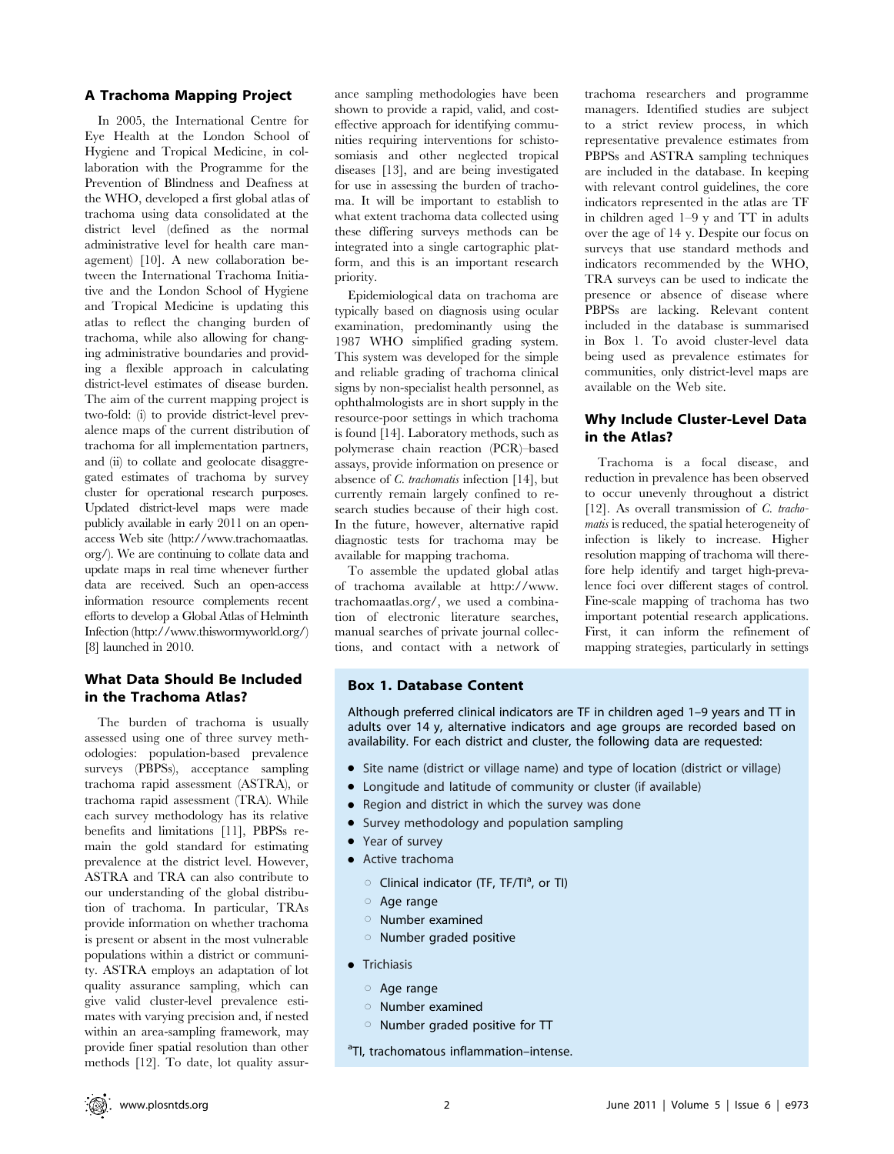#### A Trachoma Mapping Project

In 2005, the International Centre for Eye Health at the London School of Hygiene and Tropical Medicine, in collaboration with the Programme for the Prevention of Blindness and Deafness at the WHO, developed a first global atlas of trachoma using data consolidated at the district level (defined as the normal administrative level for health care management) [10]. A new collaboration between the International Trachoma Initiative and the London School of Hygiene and Tropical Medicine is updating this atlas to reflect the changing burden of trachoma, while also allowing for changing administrative boundaries and providing a flexible approach in calculating district-level estimates of disease burden. The aim of the current mapping project is two-fold: (i) to provide district-level prevalence maps of the current distribution of trachoma for all implementation partners, and (ii) to collate and geolocate disaggregated estimates of trachoma by survey cluster for operational research purposes. Updated district-level maps were made publicly available in early 2011 on an openaccess Web site (http://www.trachomaatlas. org/). We are continuing to collate data and update maps in real time whenever further data are received. Such an open-access information resource complements recent efforts to develop a Global Atlas of Helminth Infection (http://www.thiswormyworld.org/) [8] launched in 2010.

### What Data Should Be Included in the Trachoma Atlas?

The burden of trachoma is usually assessed using one of three survey methodologies: population-based prevalence surveys (PBPSs), acceptance sampling trachoma rapid assessment (ASTRA), or trachoma rapid assessment (TRA). While each survey methodology has its relative benefits and limitations [11], PBPSs remain the gold standard for estimating prevalence at the district level. However, ASTRA and TRA can also contribute to our understanding of the global distribution of trachoma. In particular, TRAs provide information on whether trachoma is present or absent in the most vulnerable populations within a district or community. ASTRA employs an adaptation of lot quality assurance sampling, which can give valid cluster-level prevalence estimates with varying precision and, if nested within an area-sampling framework, may provide finer spatial resolution than other methods [12]. To date, lot quality assurance sampling methodologies have been shown to provide a rapid, valid, and costeffective approach for identifying communities requiring interventions for schistosomiasis and other neglected tropical diseases [13], and are being investigated for use in assessing the burden of trachoma. It will be important to establish to what extent trachoma data collected using these differing surveys methods can be integrated into a single cartographic platform, and this is an important research priority.

Epidemiological data on trachoma are typically based on diagnosis using ocular examination, predominantly using the 1987 WHO simplified grading system. This system was developed for the simple and reliable grading of trachoma clinical signs by non-specialist health personnel, as ophthalmologists are in short supply in the resource-poor settings in which trachoma is found [14]. Laboratory methods, such as polymerase chain reaction (PCR)–based assays, provide information on presence or absence of C. trachomatis infection [14], but currently remain largely confined to research studies because of their high cost. In the future, however, alternative rapid diagnostic tests for trachoma may be available for mapping trachoma.

To assemble the updated global atlas of trachoma available at http://www. trachomaatlas.org/, we used a combination of electronic literature searches, manual searches of private journal collections, and contact with a network of trachoma researchers and programme managers. Identified studies are subject to a strict review process, in which representative prevalence estimates from PBPSs and ASTRA sampling techniques are included in the database. In keeping with relevant control guidelines, the core indicators represented in the atlas are TF in children aged 1–9 y and TT in adults over the age of 14 y. Despite our focus on surveys that use standard methods and indicators recommended by the WHO, TRA surveys can be used to indicate the presence or absence of disease where PBPSs are lacking. Relevant content included in the database is summarised in Box 1. To avoid cluster-level data being used as prevalence estimates for communities, only district-level maps are available on the Web site.

# Why Include Cluster-Level Data in the Atlas?

Trachoma is a focal disease, and reduction in prevalence has been observed to occur unevenly throughout a district [12]. As overall transmission of *C. tracho*matis is reduced, the spatial heterogeneity of infection is likely to increase. Higher resolution mapping of trachoma will therefore help identify and target high-prevalence foci over different stages of control. Fine-scale mapping of trachoma has two important potential research applications. First, it can inform the refinement of mapping strategies, particularly in settings

## Box 1. Database Content

Although preferred clinical indicators are TF in children aged 1–9 years and TT in adults over 14 y, alternative indicators and age groups are recorded based on availability. For each district and cluster, the following data are requested:

- Site name (district or village name) and type of location (district or village)
- Longitude and latitude of community or cluster (if available)
- Region and district in which the survey was done
- Survey methodology and population sampling
- Year of survey
- Active trachoma
	- Clinical indicator (TF, TF/TI<sup>a</sup>, or TI)
	- $O$  Age range
	- $\circ$  Number examined
	- **O** Number graded positive
- **•** Trichiasis
	- $\circ$  Age range
	- $\circ$  Number examined
	- **IDUM** Number graded positive for TT

<sup>a</sup>TI, trachomatous inflammation-intense.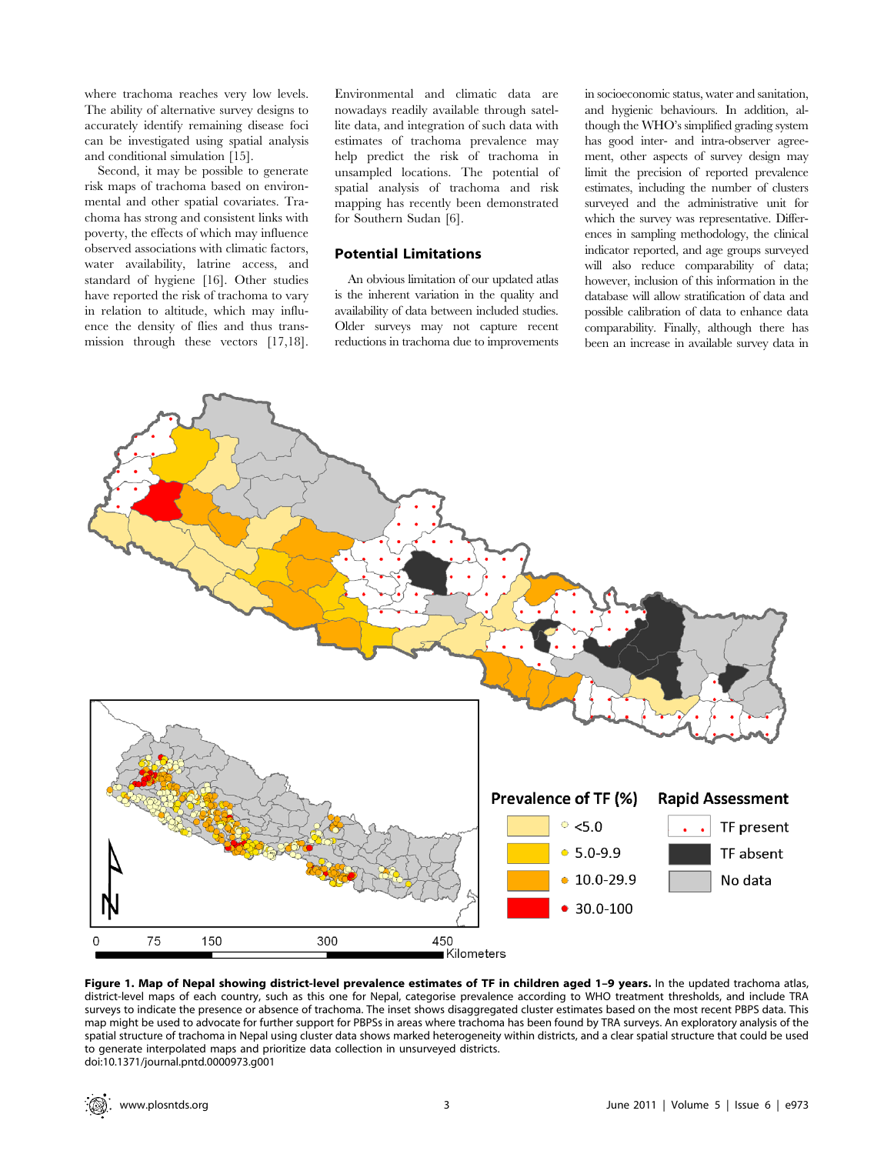where trachoma reaches very low levels. The ability of alternative survey designs to accurately identify remaining disease foci can be investigated using spatial analysis and conditional simulation [15].

Second, it may be possible to generate risk maps of trachoma based on environmental and other spatial covariates. Trachoma has strong and consistent links with poverty, the effects of which may influence observed associations with climatic factors, water availability, latrine access, and standard of hygiene [16]. Other studies have reported the risk of trachoma to vary in relation to altitude, which may influence the density of flies and thus transmission through these vectors [17,18]. Environmental and climatic data are nowadays readily available through satellite data, and integration of such data with estimates of trachoma prevalence may help predict the risk of trachoma in unsampled locations. The potential of spatial analysis of trachoma and risk mapping has recently been demonstrated for Southern Sudan [6].

#### Potential Limitations

An obvious limitation of our updated atlas is the inherent variation in the quality and availability of data between included studies. Older surveys may not capture recent reductions in trachoma due to improvements

in socioeconomic status, water and sanitation, and hygienic behaviours. In addition, although the WHO's simplified grading system has good inter- and intra-observer agreement, other aspects of survey design may limit the precision of reported prevalence estimates, including the number of clusters surveyed and the administrative unit for which the survey was representative. Differences in sampling methodology, the clinical indicator reported, and age groups surveyed will also reduce comparability of data: however, inclusion of this information in the database will allow stratification of data and possible calibration of data to enhance data comparability. Finally, although there has been an increase in available survey data in



Figure 1. Map of Nepal showing district-level prevalence estimates of TF in children aged 1-9 years. In the updated trachoma atlas, district-level maps of each country, such as this one for Nepal, categorise prevalence according to WHO treatment thresholds, and include TRA surveys to indicate the presence or absence of trachoma. The inset shows disaggregated cluster estimates based on the most recent PBPS data. This map might be used to advocate for further support for PBPSs in areas where trachoma has been found by TRA surveys. An exploratory analysis of the spatial structure of trachoma in Nepal using cluster data shows marked heterogeneity within districts, and a clear spatial structure that could be used to generate interpolated maps and prioritize data collection in unsurveyed districts. doi:10.1371/journal.pntd.0000973.g001